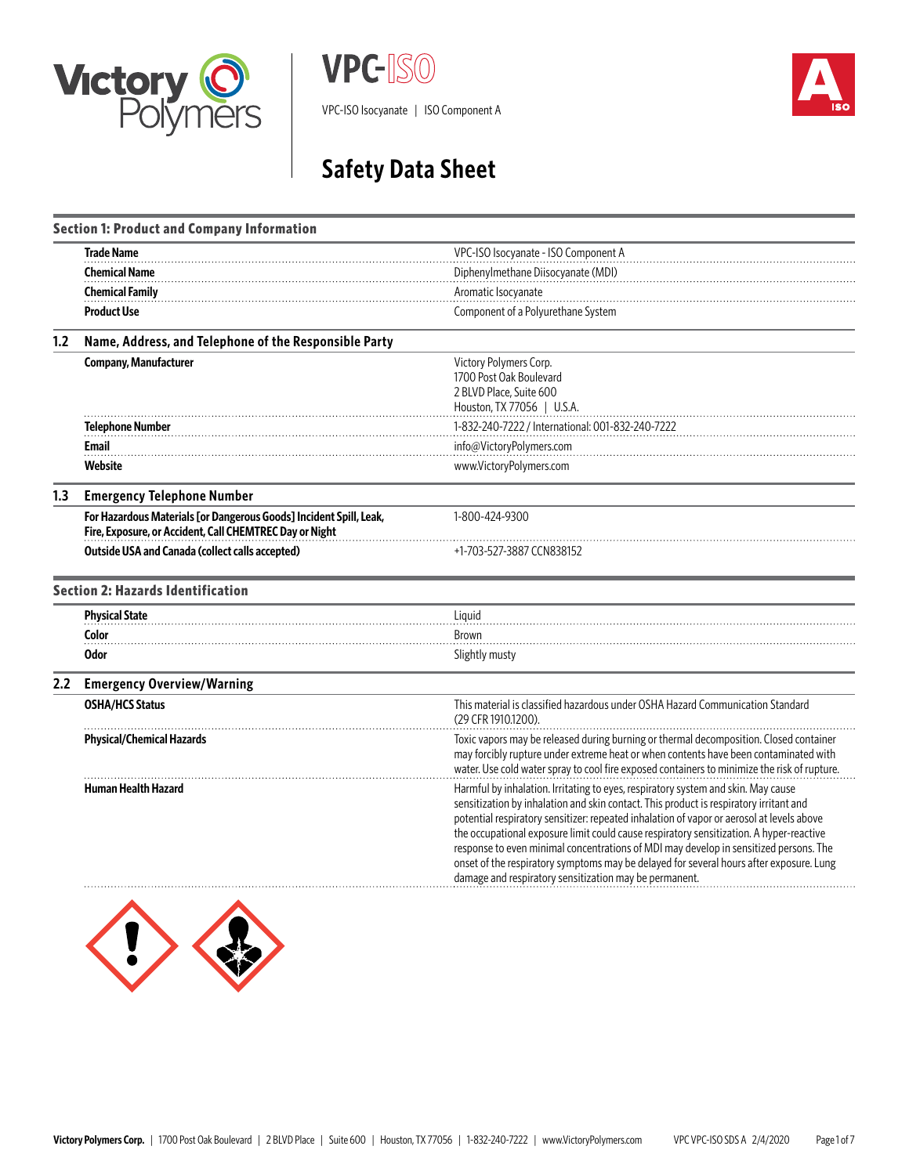





# **Safety Data Sheet**

|     | <b>Section 1: Product and Company Information</b>                                                                             |                                                                                                                                                                                                                                                                                                                                                                                                                                                                                                                                                                                                                   |  |
|-----|-------------------------------------------------------------------------------------------------------------------------------|-------------------------------------------------------------------------------------------------------------------------------------------------------------------------------------------------------------------------------------------------------------------------------------------------------------------------------------------------------------------------------------------------------------------------------------------------------------------------------------------------------------------------------------------------------------------------------------------------------------------|--|
|     | <b>Trade Name</b>                                                                                                             | VPC-ISO Isocyanate - ISO Component A                                                                                                                                                                                                                                                                                                                                                                                                                                                                                                                                                                              |  |
|     | <b>Chemical Name</b>                                                                                                          | Diphenylmethane Diisocyanate (MDI)                                                                                                                                                                                                                                                                                                                                                                                                                                                                                                                                                                                |  |
|     | <b>Chemical Family</b>                                                                                                        | Aromatic Isocyanate                                                                                                                                                                                                                                                                                                                                                                                                                                                                                                                                                                                               |  |
|     | <b>Product Use</b>                                                                                                            | Component of a Polyurethane System                                                                                                                                                                                                                                                                                                                                                                                                                                                                                                                                                                                |  |
| 1.2 | Name, Address, and Telephone of the Responsible Party                                                                         |                                                                                                                                                                                                                                                                                                                                                                                                                                                                                                                                                                                                                   |  |
|     | <b>Company, Manufacturer</b>                                                                                                  | Victory Polymers Corp.<br>1700 Post Oak Boulevard<br>2 BLVD Place, Suite 600<br>Houston, TX 77056   U.S.A.                                                                                                                                                                                                                                                                                                                                                                                                                                                                                                        |  |
|     | <b>Telephone Number</b>                                                                                                       | 1-832-240-7222 / International: 001-832-240-7222                                                                                                                                                                                                                                                                                                                                                                                                                                                                                                                                                                  |  |
|     | Email                                                                                                                         | info@VictoryPolymers.com                                                                                                                                                                                                                                                                                                                                                                                                                                                                                                                                                                                          |  |
|     | Website                                                                                                                       | www.VictoryPolymers.com                                                                                                                                                                                                                                                                                                                                                                                                                                                                                                                                                                                           |  |
| 1.3 | <b>Emergency Telephone Number</b>                                                                                             |                                                                                                                                                                                                                                                                                                                                                                                                                                                                                                                                                                                                                   |  |
|     | For Hazardous Materials [or Dangerous Goods] Incident Spill, Leak,<br>Fire, Exposure, or Accident, Call CHEMTREC Day or Night | 1-800-424-9300                                                                                                                                                                                                                                                                                                                                                                                                                                                                                                                                                                                                    |  |
|     | <b>Outside USA and Canada (collect calls accepted)</b>                                                                        | +1-703-527-3887 CCN838152                                                                                                                                                                                                                                                                                                                                                                                                                                                                                                                                                                                         |  |
|     | <b>Section 2: Hazards Identification</b>                                                                                      |                                                                                                                                                                                                                                                                                                                                                                                                                                                                                                                                                                                                                   |  |
|     | <b>Physical State</b>                                                                                                         | Liquid                                                                                                                                                                                                                                                                                                                                                                                                                                                                                                                                                                                                            |  |
|     | Color                                                                                                                         | Brown                                                                                                                                                                                                                                                                                                                                                                                                                                                                                                                                                                                                             |  |
|     | <b>Odor</b>                                                                                                                   | Slightly musty                                                                                                                                                                                                                                                                                                                                                                                                                                                                                                                                                                                                    |  |
| 2.2 | <b>Emergency Overview/Warning</b>                                                                                             |                                                                                                                                                                                                                                                                                                                                                                                                                                                                                                                                                                                                                   |  |
|     | <b>OSHA/HCS Status</b>                                                                                                        | This material is classified hazardous under OSHA Hazard Communication Standard<br>(29 CFR 1910.1200).                                                                                                                                                                                                                                                                                                                                                                                                                                                                                                             |  |
|     | <b>Physical/Chemical Hazards</b>                                                                                              | Toxic vapors may be released during burning or thermal decomposition. Closed container<br>may forcibly rupture under extreme heat or when contents have been contaminated with<br>water. Use cold water spray to cool fire exposed containers to minimize the risk of rupture.                                                                                                                                                                                                                                                                                                                                    |  |
|     | <b>Human Health Hazard</b>                                                                                                    | Harmful by inhalation. Irritating to eyes, respiratory system and skin. May cause<br>sensitization by inhalation and skin contact. This product is respiratory irritant and<br>potential respiratory sensitizer: repeated inhalation of vapor or aerosol at levels above<br>the occupational exposure limit could cause respiratory sensitization. A hyper-reactive<br>response to even minimal concentrations of MDI may develop in sensitized persons. The<br>onset of the respiratory symptoms may be delayed for several hours after exposure. Lung<br>damage and respiratory sensitization may be permanent. |  |

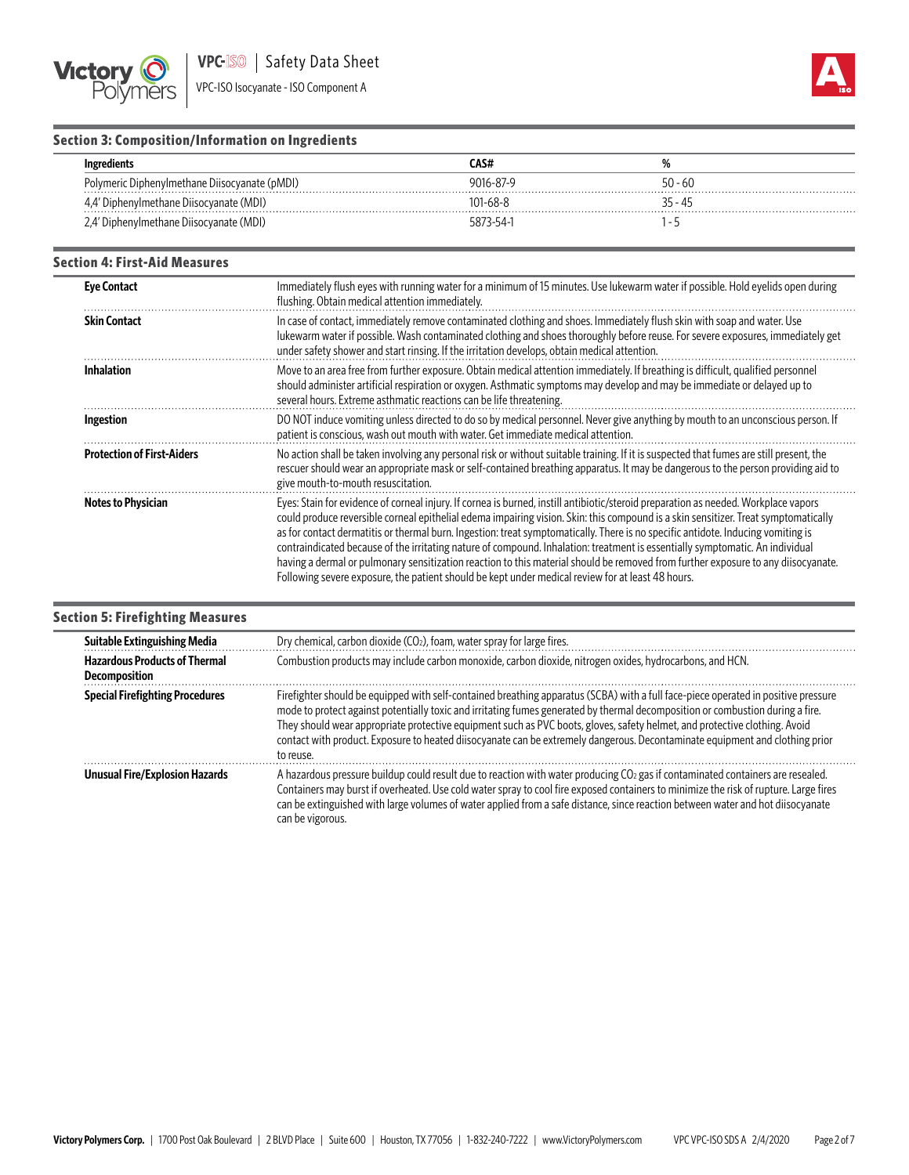



# **Section 3: Composition/Information on Ingredients**

|                                               | CAS#           |           |
|-----------------------------------------------|----------------|-----------|
| Polymeric Diphenylmethane Diisocyanate (pMDI) | 9016-87-9      | $50 - 60$ |
| ' Diphenylmethane Diisocyanate (MDI)          | $101 - 68 - 8$ | 35 - 45   |
| '' Diphenylmethane Diisocyanate (MDI)         | 5873-54-1      |           |

#### **Section 4: First-Aid Measures**

| <b>Eye Contact</b>                | Immediately flush eyes with running water for a minimum of 15 minutes. Use lukewarm water if possible. Hold eyelids open during<br>flushing. Obtain medical attention immediately.                                                                                                                                                                                                                                                                                                                                                                                                                                                                                                                                                                                                        |
|-----------------------------------|-------------------------------------------------------------------------------------------------------------------------------------------------------------------------------------------------------------------------------------------------------------------------------------------------------------------------------------------------------------------------------------------------------------------------------------------------------------------------------------------------------------------------------------------------------------------------------------------------------------------------------------------------------------------------------------------------------------------------------------------------------------------------------------------|
| <b>Skin Contact</b>               | In case of contact, immediately remove contaminated clothing and shoes. Immediately flush skin with soap and water. Use<br>lukewarm water if possible. Wash contaminated clothing and shoes thoroughly before reuse. For severe exposures, immediately get<br>under safety shower and start rinsing. If the irritation develops, obtain medical attention.                                                                                                                                                                                                                                                                                                                                                                                                                                |
| Inhalation                        | Move to an area free from further exposure. Obtain medical attention immediately. If breathing is difficult, qualified personnel<br>should administer artificial respiration or oxygen. Asthmatic symptoms may develop and may be immediate or delayed up to<br>several hours. Extreme asthmatic reactions can be life threatening.                                                                                                                                                                                                                                                                                                                                                                                                                                                       |
| Ingestion                         | DO NOT induce vomiting unless directed to do so by medical personnel. Never give anything by mouth to an unconscious person. If<br>patient is conscious, wash out mouth with water. Get immediate medical attention.                                                                                                                                                                                                                                                                                                                                                                                                                                                                                                                                                                      |
| <b>Protection of First-Aiders</b> | No action shall be taken involving any personal risk or without suitable training. If it is suspected that fumes are still present, the<br>rescuer should wear an appropriate mask or self-contained breathing apparatus. It may be dangerous to the person providing aid to<br>give mouth-to-mouth resuscitation.                                                                                                                                                                                                                                                                                                                                                                                                                                                                        |
| Notes to Physician                | Eyes: Stain for evidence of corneal injury. If cornea is burned, instill antibiotic/steroid preparation as needed. Workplace vapors<br>could produce reversible corneal epithelial edema impairing vision. Skin: this compound is a skin sensitizer. Treat symptomatically<br>as for contact dermatitis or thermal burn. Ingestion: treat symptomatically. There is no specific antidote. Inducing vomiting is<br>contraindicated because of the irritating nature of compound. Inhalation: treatment is essentially symptomatic. An individual<br>having a dermal or pulmonary sensitization reaction to this material should be removed from further exposure to any diisocyanate.<br>Following severe exposure, the patient should be kept under medical review for at least 48 hours. |

# **Section 5: Firefighting Measures**

| Suitable Extinguishing Media                                                                                                                                             | Dry chemical, carbon dioxide $(CO2)$ , foam, water spray for large fires.                                                                                                                                                                                                                                                                                                                                                                                                                                                                       |
|--------------------------------------------------------------------------------------------------------------------------------------------------------------------------|-------------------------------------------------------------------------------------------------------------------------------------------------------------------------------------------------------------------------------------------------------------------------------------------------------------------------------------------------------------------------------------------------------------------------------------------------------------------------------------------------------------------------------------------------|
| Combustion products may include carbon monoxide, carbon dioxide, nitrogen oxides, hydrocarbons, and HCN.<br><b>Hazardous Products of Thermal</b><br><b>Decomposition</b> |                                                                                                                                                                                                                                                                                                                                                                                                                                                                                                                                                 |
| <b>Special Firefighting Procedures</b>                                                                                                                                   | Firefighter should be equipped with self-contained breathing apparatus (SCBA) with a full face-piece operated in positive pressure<br>mode to protect against potentially toxic and irritating fumes generated by thermal decomposition or combustion during a fire.<br>They should wear appropriate protective equipment such as PVC boots, gloves, safety helmet, and protective clothing. Avoid<br>contact with product. Exposure to heated diisocyanate can be extremely dangerous. Decontaminate equipment and clothing prior<br>to reuse. |
| <b>Unusual Fire/Explosion Hazards</b>                                                                                                                                    | A hazardous pressure buildup could result due to reaction with water producing CO <sub>2</sub> gas if contaminated containers are resealed.<br>Containers may burst if overheated. Use cold water spray to cool fire exposed containers to minimize the risk of rupture. Large fires<br>can be extinguished with large volumes of water applied from a safe distance, since reaction between water and hot diisocyanate<br>can be vigorous.                                                                                                     |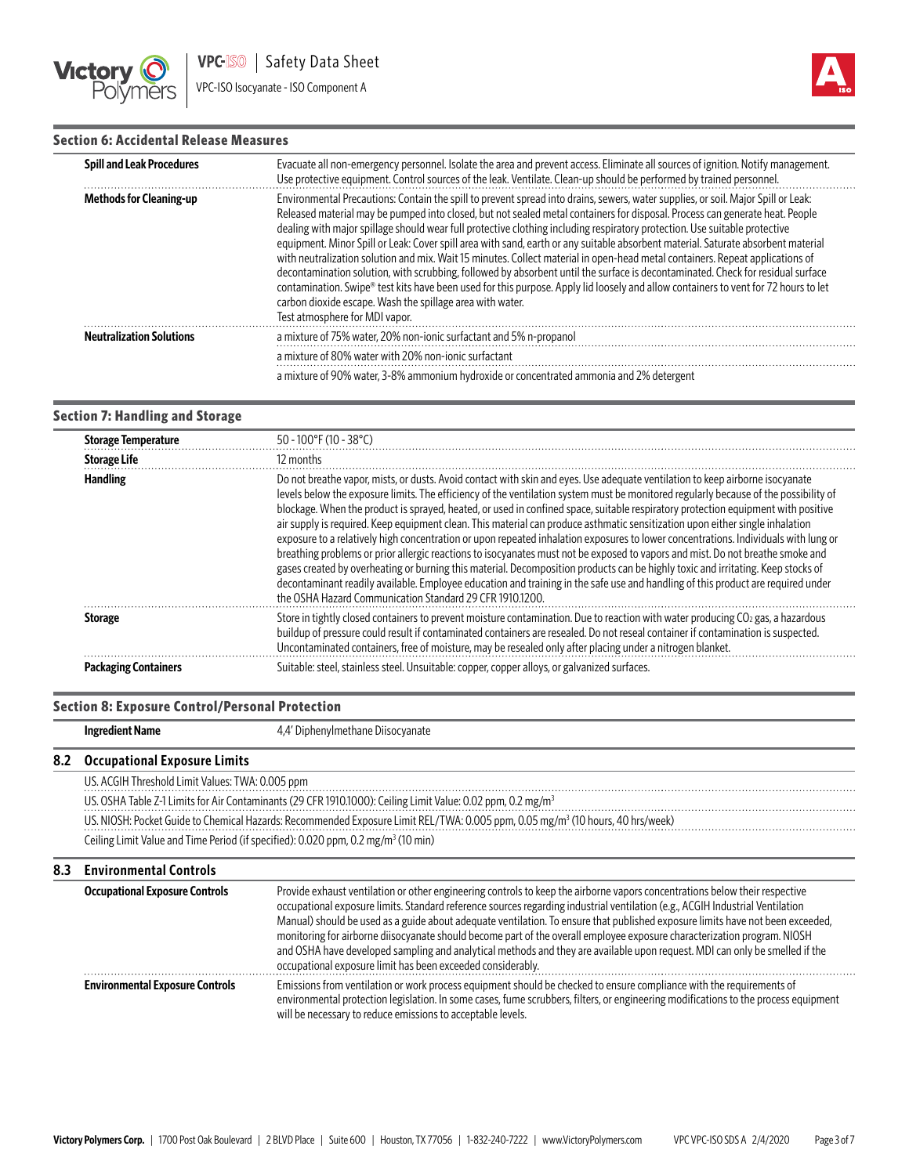



# **Section 6: Accidental Release Measures**

| <b>Spill and Leak Procedures</b> | Evacuate all non-emergency personnel. Isolate the area and prevent access. Eliminate all sources of ignition. Notify management.<br>Use protective equipment. Control sources of the leak. Ventilate. Clean-up should be performed by trained personnel.                                                                                                                                                                                                                                                                                                                                                                                                                                                                                                                                                                                                                                                                                                                                                                                       |
|----------------------------------|------------------------------------------------------------------------------------------------------------------------------------------------------------------------------------------------------------------------------------------------------------------------------------------------------------------------------------------------------------------------------------------------------------------------------------------------------------------------------------------------------------------------------------------------------------------------------------------------------------------------------------------------------------------------------------------------------------------------------------------------------------------------------------------------------------------------------------------------------------------------------------------------------------------------------------------------------------------------------------------------------------------------------------------------|
| <b>Methods for Cleaning-up</b>   | Environmental Precautions: Contain the spill to prevent spread into drains, sewers, water supplies, or soil. Major Spill or Leak:<br>Released material may be pumped into closed, but not sealed metal containers for disposal. Process can generate heat. People<br>dealing with major spillage should wear full protective clothing including respiratory protection. Use suitable protective<br>equipment. Minor Spill or Leak: Cover spill area with sand, earth or any suitable absorbent material. Saturate absorbent material<br>with neutralization solution and mix. Wait 15 minutes. Collect material in open-head metal containers. Repeat applications of<br>decontamination solution, with scrubbing, followed by absorbent until the surface is decontaminated. Check for residual surface<br>contamination. Swipe® test kits have been used for this purpose. Apply lid loosely and allow containers to vent for 72 hours to let<br>carbon dioxide escape. Wash the spillage area with water.<br>Test atmosphere for MDI vapor. |
| <b>Neutralization Solutions</b>  | a mixture of 75% water, 20% non-ionic surfactant and 5% n-propanol                                                                                                                                                                                                                                                                                                                                                                                                                                                                                                                                                                                                                                                                                                                                                                                                                                                                                                                                                                             |
|                                  | a mixture of 80% water with 20% non-jonic surfactant                                                                                                                                                                                                                                                                                                                                                                                                                                                                                                                                                                                                                                                                                                                                                                                                                                                                                                                                                                                           |
|                                  | a mixture of 90% water, 3-8% ammonium hydroxide or concentrated ammonia and 2% detergent                                                                                                                                                                                                                                                                                                                                                                                                                                                                                                                                                                                                                                                                                                                                                                                                                                                                                                                                                       |

## **Section 7: Handling and Storage**

| <b>Storage Temperature</b>  | $50 - 100$ °F (10 - 38°C)                                                                                                                                                                                                                                                                                                                                                                                                                                                                                                                                                                                                                                                                                                                                                                                                                                                                                                                                                                                                                                                                                                                                |
|-----------------------------|----------------------------------------------------------------------------------------------------------------------------------------------------------------------------------------------------------------------------------------------------------------------------------------------------------------------------------------------------------------------------------------------------------------------------------------------------------------------------------------------------------------------------------------------------------------------------------------------------------------------------------------------------------------------------------------------------------------------------------------------------------------------------------------------------------------------------------------------------------------------------------------------------------------------------------------------------------------------------------------------------------------------------------------------------------------------------------------------------------------------------------------------------------|
| <b>Storage Life</b>         | 12 months                                                                                                                                                                                                                                                                                                                                                                                                                                                                                                                                                                                                                                                                                                                                                                                                                                                                                                                                                                                                                                                                                                                                                |
| <b>Handling</b>             | Do not breathe vapor, mists, or dusts. Avoid contact with skin and eyes. Use adequate ventilation to keep airborne isocyanate<br>levels below the exposure limits. The efficiency of the ventilation system must be monitored regularly because of the possibility of<br>blockage. When the product is sprayed, heated, or used in confined space, suitable respiratory protection equipment with positive<br>air supply is required. Keep equipment clean. This material can produce asthmatic sensitization upon either single inhalation<br>exposure to a relatively high concentration or upon repeated inhalation exposures to lower concentrations. Individuals with lung or<br>breathing problems or prior allergic reactions to isocyanates must not be exposed to vapors and mist. Do not breathe smoke and<br>gases created by overheating or burning this material. Decomposition products can be highly toxic and irritating. Keep stocks of<br>decontaminant readily available. Employee education and training in the safe use and handling of this product are required under<br>the OSHA Hazard Communication Standard 29 CFR 1910 1200. |
| <b>Storage</b>              | Store in tightly closed containers to prevent moisture contamination. Due to reaction with water producing CO2 gas, a hazardous<br>buildup of pressure could result if contaminated containers are resealed. Do not reseal container if contamination is suspected.<br>Uncontaminated containers, free of moisture, may be resealed only after placing under a nitrogen blanket.                                                                                                                                                                                                                                                                                                                                                                                                                                                                                                                                                                                                                                                                                                                                                                         |
| <b>Packaging Containers</b> | Suitable: steel, stainless steel. Unsuitable: copper, copper alloys, or galvanized surfaces.                                                                                                                                                                                                                                                                                                                                                                                                                                                                                                                                                                                                                                                                                                                                                                                                                                                                                                                                                                                                                                                             |

## **Section 8: Exposure Control/Personal Protection**

**Ingredient Name** 4,4' Diphenylmethane Diisocyanate

## **8.2 Occupational Exposure Limits**

US. ACGIH Threshold Limit Values: TWA: 0.005 ppm

US. OSHA Table Z-1 Limits for Air Contaminants (29 CFR 1910.1000): Ceiling Limit Value: 0.02 ppm, 0.2 mg/m<sup>3</sup> US. NIOSH: Pocket Guide to Chemical Hazards: Recommended Exposure Limit REL/TWA: 0.005 ppm, 0.05 mg/m<sup>3</sup> (10 hours, 40 hrs/week) Ceiling Limit Value and Time Period (if specified): 0.020 ppm, 0.2 mg/m<sup>3</sup> (10 min)

#### **8.3 Environmental Controls Occupational Exposure Controls** Provide exhaust ventilation or other engineering controls to keep the airborne vapors concentrations below their respective occupational exposure limits. Standard reference sources regarding industrial ventilation (e.g., ACGIH Industrial Ventilation Manual) should be used as a guide about adequate ventilation. To ensure that published exposure limits have not been exceeded, monitoring for airborne diisocyanate should become part of the overall employee exposure characterization program. NIOSH and OSHA have developed sampling and analytical methods and they are available upon request. MDI can only be smelled if the occupational exposure limit has been exceeded considerably. . . . . . . . . . . . . . . . . **Environmental Exposure Controls** Emissions from ventilation or work process equipment should be checked to ensure compliance with the requirements of environmental protection legislation. In some cases, fume scrubbers, filters, or engineering modifications to the process equipment will be necessary to reduce emissions to acceptable levels.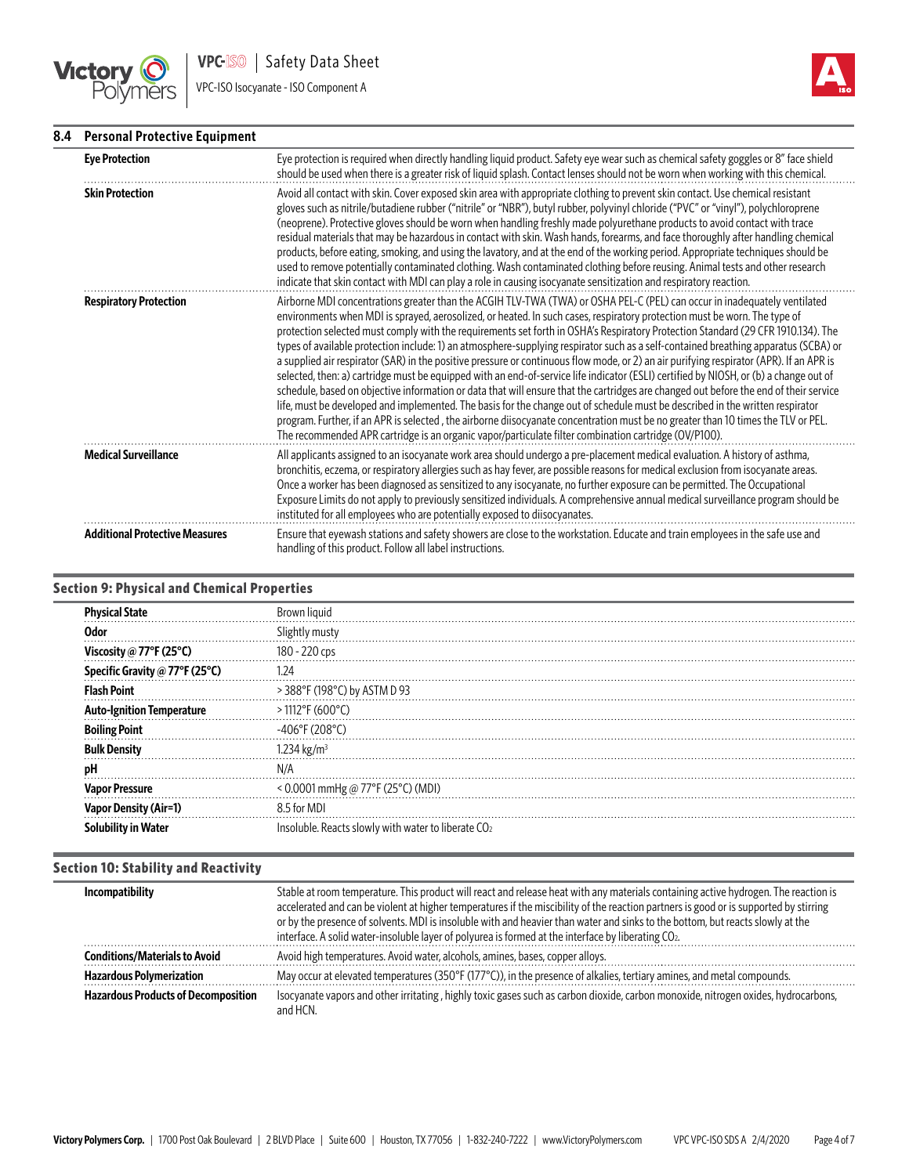

VPC-ISO Isocyanate - ISO Component A



# **8.4 Personal Protective Equipment**

| <b>Eye Protection</b>                 | Eye protection is required when directly handling liquid product. Safety eye wear such as chemical safety goggles or 8" face shield<br>should be used when there is a greater risk of liquid splash. Contact lenses should not be worn when working with this chemical.                                                                                                                                                                                                                                                                                                                                                                                                                                                                                                                                                                                                                                                                                                                                                                                                                                                                                                                                                                                                                                                                       |
|---------------------------------------|-----------------------------------------------------------------------------------------------------------------------------------------------------------------------------------------------------------------------------------------------------------------------------------------------------------------------------------------------------------------------------------------------------------------------------------------------------------------------------------------------------------------------------------------------------------------------------------------------------------------------------------------------------------------------------------------------------------------------------------------------------------------------------------------------------------------------------------------------------------------------------------------------------------------------------------------------------------------------------------------------------------------------------------------------------------------------------------------------------------------------------------------------------------------------------------------------------------------------------------------------------------------------------------------------------------------------------------------------|
| <b>Skin Protection</b>                | Avoid all contact with skin. Cover exposed skin area with appropriate clothing to prevent skin contact. Use chemical resistant<br>gloves such as nitrile/butadiene rubber ("nitrile" or "NBR"), butyl rubber, polyvinyl chloride ("PVC" or "vinyl"), polychloroprene<br>(neoprene). Protective gloves should be worn when handling freshly made polyurethane products to avoid contact with trace<br>residual materials that may be hazardous in contact with skin. Wash hands, forearms, and face thoroughly after handling chemical<br>products, before eating, smoking, and using the lavatory, and at the end of the working period. Appropriate techniques should be<br>used to remove potentially contaminated clothing. Wash contaminated clothing before reusing. Animal tests and other research<br>indicate that skin contact with MDI can play a role in causing isocyanate sensitization and respiratory reaction.                                                                                                                                                                                                                                                                                                                                                                                                                |
| <b>Respiratory Protection</b>         | Airborne MDI concentrations greater than the ACGIH TLV-TWA (TWA) or OSHA PEL-C (PEL) can occur in inadequately ventilated<br>environments when MDI is sprayed, aerosolized, or heated. In such cases, respiratory protection must be worn. The type of<br>protection selected must comply with the requirements set forth in OSHA's Respiratory Protection Standard (29 CFR 1910.134). The<br>types of available protection include: 1) an atmosphere-supplying respirator such as a self-contained breathing apparatus (SCBA) or<br>a supplied air respirator (SAR) in the positive pressure or continuous flow mode, or 2) an air purifying respirator (APR). If an APR is<br>selected, then: a) cartridge must be equipped with an end-of-service life indicator (ESLI) certified by NIOSH, or (b) a change out of<br>schedule, based on objective information or data that will ensure that the cartridges are changed out before the end of their service<br>life, must be developed and implemented. The basis for the change out of schedule must be described in the written respirator<br>program. Further, if an APR is selected, the airborne diisocyanate concentration must be no greater than 10 times the TLV or PEL.<br>The recommended APR cartridge is an organic vapor/particulate filter combination cartridge (OV/P100). |
| <b>Medical Surveillance</b>           | All applicants assigned to an isocyanate work area should undergo a pre-placement medical evaluation. A history of asthma,<br>bronchitis, eczema, or respiratory allergies such as hay fever, are possible reasons for medical exclusion from isocyanate areas.<br>Once a worker has been diagnosed as sensitized to any isocyanate, no further exposure can be permitted. The Occupational<br>Exposure Limits do not apply to previously sensitized individuals. A comprehensive annual medical surveillance program should be<br>instituted for all employees who are potentially exposed to diisocyanates.                                                                                                                                                                                                                                                                                                                                                                                                                                                                                                                                                                                                                                                                                                                                 |
| <b>Additional Protective Measures</b> | Ensure that eyewash stations and safety showers are close to the workstation. Educate and train employees in the safe use and<br>handling of this product. Follow all label instructions.                                                                                                                                                                                                                                                                                                                                                                                                                                                                                                                                                                                                                                                                                                                                                                                                                                                                                                                                                                                                                                                                                                                                                     |

# **Section 9: Physical and Chemical Properties**

| Phy<br>ıcal State              | Brown                                                           |
|--------------------------------|-----------------------------------------------------------------|
| 0dor                           | Slightly musty                                                  |
| Viscosity @ 77°F (25°C)        | 180 - 220 cps                                                   |
| Specific Gravity @ 77°F (25°C) | 124                                                             |
| <b>Flash Point</b>             | > 388°F (198°C) by ASTM D 93                                    |
| Ignition Temperature           | $>1112$ °F (600°C)                                              |
| <b>Boiling Point</b>           | $-406^{\circ}$ F (208°C)                                        |
| Density<br>Bull                | 1.234 kg/m <sup>3</sup>                                         |
| pH                             | N/A                                                             |
| Pressure<br>Vapc               | < 0.0001 mmHg @ 77°F (25°C) (MDI)                               |
| / (Air=1)<br>Vapo              | 8.5 for MDI                                                     |
| Soli<br>water                  | Insoluble. Reacts slowly with water to liberate CO <sub>2</sub> |

# **Section 10: Stability and Reactivity**

| Incompatibility                            | Stable at room temperature. This product will react and release heat with any materials containing active hydrogen. The reaction is<br>accelerated and can be violent at higher temperatures if the miscibility of the reaction partners is good or is supported by stirring<br>or by the presence of solvents. MDI is insoluble with and heavier than water and sinks to the bottom, but reacts slowly at the<br>interface. A solid water-insoluble layer of polyurea is formed at the interface by liberating CO2. |
|--------------------------------------------|----------------------------------------------------------------------------------------------------------------------------------------------------------------------------------------------------------------------------------------------------------------------------------------------------------------------------------------------------------------------------------------------------------------------------------------------------------------------------------------------------------------------|
| <b>Conditions/Materials to Avoid</b>       | Avoid high temperatures. Avoid water, alcohols, amines, bases, copper alloys.                                                                                                                                                                                                                                                                                                                                                                                                                                        |
| <b>Hazardous Polymerization</b>            | May occur at elevated temperatures (350 $\degree$ F (177 $\degree$ C)), in the presence of alkalies, tertiary amines, and metal compounds.                                                                                                                                                                                                                                                                                                                                                                           |
| <b>Hazardous Products of Decomposition</b> | Isocyanate vapors and other irritating, highly toxic gases such as carbon dioxide, carbon monoxide, nitrogen oxides, hydrocarbons,<br>and HCN.                                                                                                                                                                                                                                                                                                                                                                       |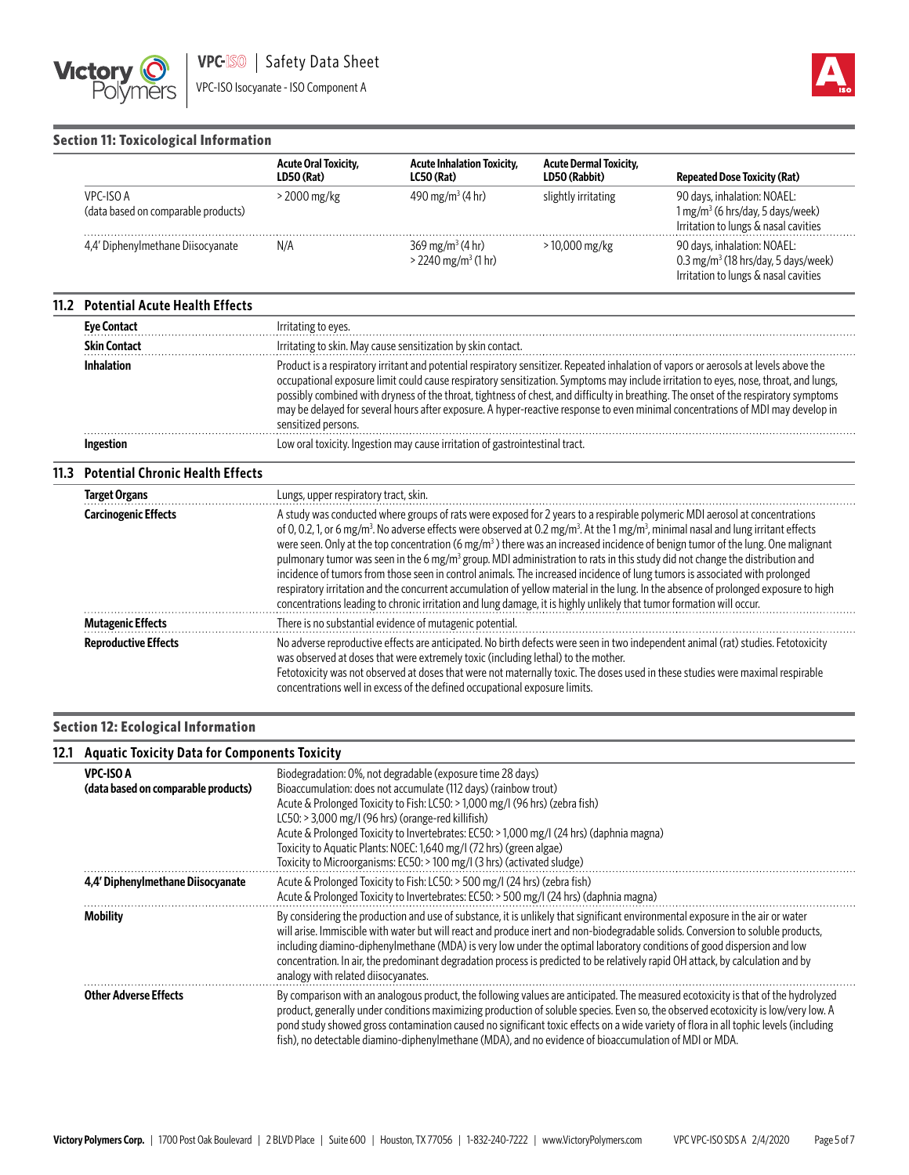

Irritation to lungs & nasal cavities

# **Section 11: Toxicological Information**

|                                                  | <b>Acute Oral Toxicity,</b><br>LD50 (Rat) | <b>Acute Inhalation Toxicity,</b><br>$LC50$ (Rat)                   | <b>Acute Dermal Toxicity,</b><br>LD50 (Rabbit) | <b>Repeated Dose Toxicity (Rat)</b>                                                                       |
|--------------------------------------------------|-------------------------------------------|---------------------------------------------------------------------|------------------------------------------------|-----------------------------------------------------------------------------------------------------------|
| VPC-ISO A<br>(data based on comparable products) | > 2000 mg/kg                              | 490 mg/m <sup>3</sup> (4 hr)                                        | slightly irritating                            | 90 days, inhalation: NOAEL:<br>$1 mg/m3$ (6 hrs/day, 5 days/week)<br>Irritation to lungs & nasal cavities |
| 4.4' Diphenylmethane Diisocyanate                | N/A                                       | $369 \,\mathrm{mg/m^3}$ (4 hr)<br>$>$ 2240 mg/m <sup>3</sup> (1 hr) | $>10,000$ mg/kg                                | 90 days, inhalation: NOAEL:<br>0.3 mg/m <sup>3</sup> (18 hrs/day, 5 days/week)                            |

#### **11.2 Potential Acute Health Effects**

| <b>Eye Contact</b>  | Irritating to eyes.                                                                                                                                                                                                                                                                                                                                                                                                                                                                                                                                                             |
|---------------------|---------------------------------------------------------------------------------------------------------------------------------------------------------------------------------------------------------------------------------------------------------------------------------------------------------------------------------------------------------------------------------------------------------------------------------------------------------------------------------------------------------------------------------------------------------------------------------|
| <b>Skin Contact</b> | Irritating to skin. May cause sensitization by skin contact.                                                                                                                                                                                                                                                                                                                                                                                                                                                                                                                    |
| <b>Inhalation</b>   | Product is a respiratory irritant and potential respiratory sensitizer. Repeated inhalation of vapors or aerosols at levels above the<br>occupational exposure limit could cause respiratory sensitization. Symptoms may include irritation to eyes, nose, throat, and lungs,<br>possibly combined with dryness of the throat, tightness of chest, and difficulty in breathing. The onset of the respiratory symptoms<br>may be delayed for several hours after exposure. A hyper-reactive response to even minimal concentrations of MDI may develop in<br>sensitized persons. |
| <b>Ingestion</b>    | Low oral toxicity. Ingestion may cause irritation of gastrointestinal tract.                                                                                                                                                                                                                                                                                                                                                                                                                                                                                                    |

# **11.3 Potential Chronic Health Effects**

| <b>Target Organs</b>        | Lungs, upper respiratory tract, skin.                                                                                                                                                                                                                                                                                                                                                                                                                                                                                                                                                                                                                                                                                                                                                                                                                                                                                                                                                       |
|-----------------------------|---------------------------------------------------------------------------------------------------------------------------------------------------------------------------------------------------------------------------------------------------------------------------------------------------------------------------------------------------------------------------------------------------------------------------------------------------------------------------------------------------------------------------------------------------------------------------------------------------------------------------------------------------------------------------------------------------------------------------------------------------------------------------------------------------------------------------------------------------------------------------------------------------------------------------------------------------------------------------------------------|
| <b>Carcinogenic Effects</b> | A study was conducted where groups of rats were exposed for 2 years to a respirable polymeric MDI aerosol at concentrations<br>of 0,0.2, 1, or 6 mg/m <sup>3</sup> . No adverse effects were observed at 0.2 mg/m <sup>3</sup> . At the 1 mg/m <sup>3</sup> , minimal nasal and lung irritant effects<br>were seen. Only at the top concentration $(6 \text{ mg/m}^3)$ there was an increased incidence of benign tumor of the lung. One malignant<br>pulmonary tumor was seen in the 6 mg/m <sup>3</sup> group. MDI administration to rats in this study did not change the distribution and<br>incidence of tumors from those seen in control animals. The increased incidence of lung tumors is associated with prolonged<br>respiratory irritation and the concurrent accumulation of yellow material in the lung. In the absence of prolonged exposure to high<br>concentrations leading to chronic irritation and lung damage, it is highly unlikely that tumor formation will occur. |
| <b>Mutagenic Effects</b>    | There is no substantial evidence of mutagenic potential.                                                                                                                                                                                                                                                                                                                                                                                                                                                                                                                                                                                                                                                                                                                                                                                                                                                                                                                                    |
| <b>Reproductive Effects</b> | No adverse reproductive effects are anticipated. No birth defects were seen in two independent animal (rat) studies. Fetotoxicity<br>was observed at doses that were extremely toxic (including lethal) to the mother.<br>Fetotoxicity was not observed at doses that were not maternally toxic. The doses used in these studies were maximal respirable<br>concentrations well in excess of the defined occupational exposure limits.                                                                                                                                                                                                                                                                                                                                                                                                                                                                                                                                                      |

#### **Section 12: Ecological Information**

# **12.1 Aquatic Toxicity Data for Components Toxicity**

| <b>VPC-ISO A</b><br>(data based on comparable products) | Biodegradation: 0%, not degradable (exposure time 28 days)<br>Bioaccumulation: does not accumulate (112 days) (rainbow trout)<br>Acute & Prolonged Toxicity to Fish: LC50: > 1,000 mg/l (96 hrs) (zebra fish)<br>$LC50: > 3,000$ mg/l (96 hrs) (orange-red killifish)<br>Acute & Prolonged Toxicity to Invertebrates: EC50: > 1,000 mg/l (24 hrs) (daphnia magna)<br>Toxicity to Aquatic Plants: NOEC: 1,640 mg/l (72 hrs) (green algae)<br>Toxicity to Microorganisms: EC50: > 100 mg/l (3 hrs) (activated sludge)                                                    |
|---------------------------------------------------------|------------------------------------------------------------------------------------------------------------------------------------------------------------------------------------------------------------------------------------------------------------------------------------------------------------------------------------------------------------------------------------------------------------------------------------------------------------------------------------------------------------------------------------------------------------------------|
| 4,4' Diphenylmethane Diisocyanate                       | Acute & Prolonged Toxicity to Fish: LC50: > 500 mg/l (24 hrs) (zebra fish)<br>Acute & Prolonged Toxicity to Invertebrates: EC50: > 500 mg/l (24 hrs) (daphnia magna)                                                                                                                                                                                                                                                                                                                                                                                                   |
| Mobility                                                | By considering the production and use of substance, it is unlikely that significant environmental exposure in the air or water<br>will arise. Immiscible with water but will react and produce inert and non-biodegradable solids. Conversion to soluble products,<br>including diamino-diphenylmethane (MDA) is very low under the optimal laboratory conditions of good dispersion and low<br>concentration. In air, the predominant degradation process is predicted to be relatively rapid OH attack, by calculation and by<br>analogy with related diisocyanates. |
| <b>Other Adverse Effects</b>                            | By comparison with an analogous product, the following values are anticipated. The measured ecotoxicity is that of the hydrolyzed<br>product, generally under conditions maximizing production of soluble species. Even so, the observed ecotoxicity is low/very low. A<br>pond study showed gross contamination caused no significant toxic effects on a wide variety of flora in all tophic levels (including<br>fish), no detectable diamino-diphenylmethane (MDA), and no evidence of bioaccumulation of MDI or MDA.                                               |
|                                                         |                                                                                                                                                                                                                                                                                                                                                                                                                                                                                                                                                                        |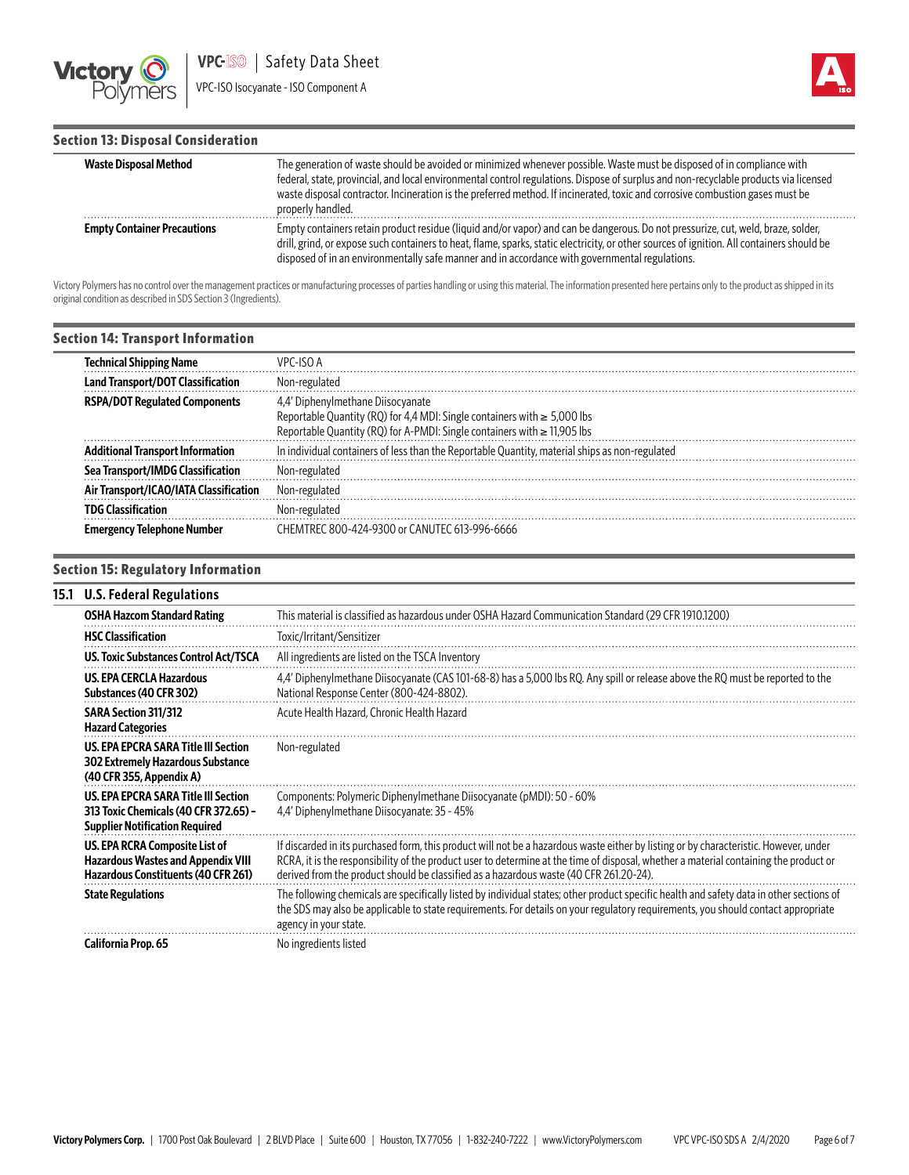



L.

# **Section 13: Disposal Consideration**

| <b>Waste Disposal Method</b>       | The generation of waste should be avoided or minimized whenever possible. Waste must be disposed of in compliance with<br>federal, state, provincial, and local environmental control regulations. Dispose of surplus and non-recyclable products via licensed<br>waste disposal contractor. Incineration is the preferred method. If incinerated, toxic and corrosive combustion gases must be<br>properly handled. |
|------------------------------------|----------------------------------------------------------------------------------------------------------------------------------------------------------------------------------------------------------------------------------------------------------------------------------------------------------------------------------------------------------------------------------------------------------------------|
| <b>Empty Container Precautions</b> | Empty containers retain product residue (liquid and/or vapor) and can be dangerous. Do not pressurize, cut, weld, braze, solder,<br>drill, grind, or expose such containers to heat, flame, sparks, static electricity, or other sources of ignition. All containers should be<br>disposed of in an environmentally safe manner and in accordance with governmental regulations.                                     |

Victory Polymers has no control over the management practices or manufacturing processes of parties handling or using this material. The information presented here pertains only to the product as shipped in its original condition as described in SDS Section 3 (Ingredients).

| <b>Section 14: Transport Information</b> |                                                                                                                                                                                                |
|------------------------------------------|------------------------------------------------------------------------------------------------------------------------------------------------------------------------------------------------|
| <b>Technical Shipping Name</b>           | VPC-ISO A                                                                                                                                                                                      |
| <b>Land Transport/DOT Classification</b> | Non-regulated                                                                                                                                                                                  |
| <b>RSPA/DOT Regulated Components</b>     | 4.4' Diphenylmethane Diisocyanate<br>Reportable Quantity (RQ) for 4.4 MDI: Single containers with $\geq 5,000$ lbs<br>Reportable Quantity (RQ) for A-PMDI: Single containers with ≥ 11,905 lbs |
| Additional Transport Information         | In individual containers of less than the Reportable Quantity, material ships as non-regulated                                                                                                 |
| Sea Transport/IMDG Classification        | Non-regulated                                                                                                                                                                                  |
| Air Transport/ICAO/IATA Classification   | Non-regulated                                                                                                                                                                                  |
| <b>TDG Classification</b>                | Non-regulated                                                                                                                                                                                  |
| <b>Emergency Telephone Number</b>        | CHEMTREC 800-424-9300 or CANUTEC 613-996-6666                                                                                                                                                  |

# **Section 15: Regulatory Information**

#### **15.1 U.S. Federal Regulations**

| <b>OSHA Hazcom Standard Rating</b>                                                                                     | This material is classified as hazardous under OSHA Hazard Communication Standard (29 CFR 1910.1200)                                                                                                                                                                                                                                                                     |
|------------------------------------------------------------------------------------------------------------------------|--------------------------------------------------------------------------------------------------------------------------------------------------------------------------------------------------------------------------------------------------------------------------------------------------------------------------------------------------------------------------|
| <b>HSC Classification</b>                                                                                              | Toxic/Irritant/Sensitizer                                                                                                                                                                                                                                                                                                                                                |
| <b>US. Toxic Substances Control Act/TSCA</b>                                                                           | All ingredients are listed on the TSCA Inventory                                                                                                                                                                                                                                                                                                                         |
| <b>US. EPA CERCLA Hazardous</b><br>Substances (40 CFR 302)                                                             | 4.4' Diphenylmethane Diisocyanate (CAS 101-68-8) has a 5,000 lbs RQ. Any spill or release above the RQ must be reported to the<br>National Response Center (800-424-8802).                                                                                                                                                                                               |
| SARA Section 311/312<br><b>Hazard Categories</b>                                                                       | Acute Health Hazard, Chronic Health Hazard                                                                                                                                                                                                                                                                                                                               |
| US. EPA EPCRA SARA Title III Section<br><b>302 Extremely Hazardous Substance</b><br>(40 CFR 355, Appendix A)           | Non-regulated                                                                                                                                                                                                                                                                                                                                                            |
| US. EPA EPCRA SARA Title III Section<br>313 Toxic Chemicals (40 CFR 372.65) -<br><b>Supplier Notification Required</b> | Components: Polymeric Diphenylmethane Diisocyanate (pMDI): 50 - 60%<br>4,4' Diphenylmethane Diisocyanate: 35 - 45%                                                                                                                                                                                                                                                       |
| US. EPA RCRA Composite List of<br><b>Hazardous Wastes and Appendix VIII</b><br>Hazardous Constituents (40 CFR 261)     | If discarded in its purchased form, this product will not be a hazardous waste either by listing or by characteristic. However, under<br>RCRA, it is the responsibility of the product user to determine at the time of disposal, whether a material containing the product or<br>derived from the product should be classified as a hazardous waste (40 CFR 261.20-24). |
| <b>State Regulations</b>                                                                                               | The following chemicals are specifically listed by individual states; other product specific health and safety data in other sections of<br>the SDS may also be applicable to state requirements. For details on your regulatory requirements, you should contact appropriate<br>agency in your state.                                                                   |
| California Prop. 65                                                                                                    | No ingredients listed                                                                                                                                                                                                                                                                                                                                                    |